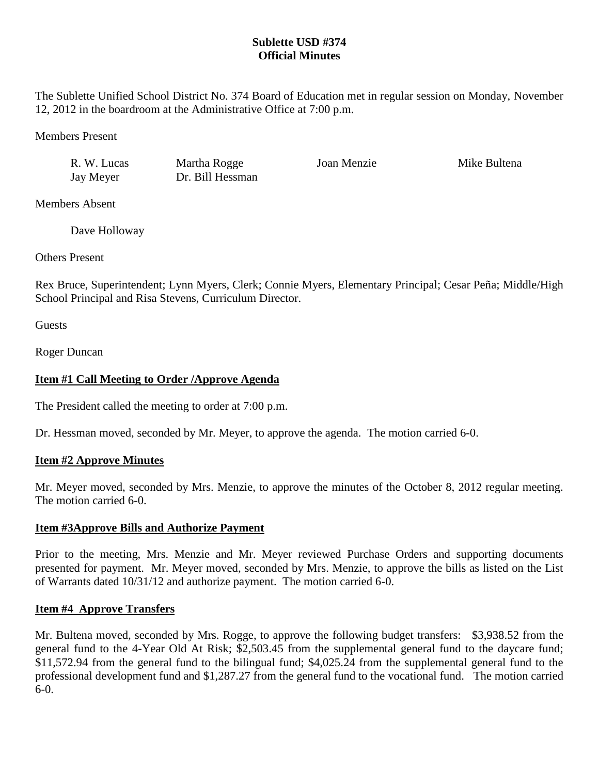# **Sublette USD #374 Official Minutes**

The Sublette Unified School District No. 374 Board of Education met in regular session on Monday, November 12, 2012 in the boardroom at the Administrative Office at 7:00 p.m.

Members Present

R. W. Lucas Martha Rogge Joan Menzie Mike Bultena Jay Meyer Dr. Bill Hessman

Members Absent

Dave Holloway

Others Present

Rex Bruce, Superintendent; Lynn Myers, Clerk; Connie Myers, Elementary Principal; Cesar Peña; Middle/High School Principal and Risa Stevens, Curriculum Director.

**Guests** 

Roger Duncan

# **Item #1 Call Meeting to Order /Approve Agenda**

The President called the meeting to order at 7:00 p.m.

Dr. Hessman moved, seconded by Mr. Meyer, to approve the agenda. The motion carried 6-0.

# **Item #2 Approve Minutes**

Mr. Meyer moved, seconded by Mrs. Menzie, to approve the minutes of the October 8, 2012 regular meeting. The motion carried 6-0.

# **Item #3Approve Bills and Authorize Payment**

Prior to the meeting, Mrs. Menzie and Mr. Meyer reviewed Purchase Orders and supporting documents presented for payment. Mr. Meyer moved, seconded by Mrs. Menzie, to approve the bills as listed on the List of Warrants dated 10/31/12 and authorize payment. The motion carried 6-0.

# **Item #4 Approve Transfers**

Mr. Bultena moved, seconded by Mrs. Rogge, to approve the following budget transfers: \$3,938.52 from the general fund to the 4-Year Old At Risk; \$2,503.45 from the supplemental general fund to the daycare fund; \$11,572.94 from the general fund to the bilingual fund; \$4,025.24 from the supplemental general fund to the professional development fund and \$1,287.27 from the general fund to the vocational fund. The motion carried 6-0.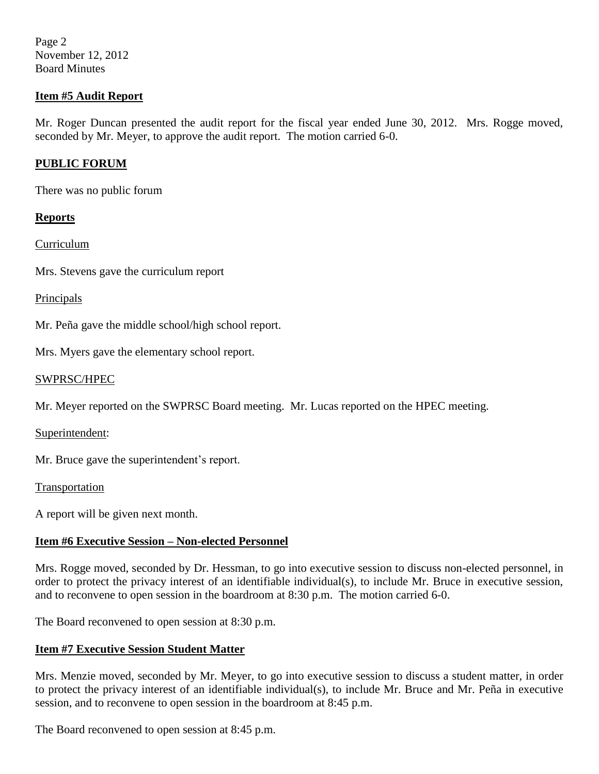Page 2 November 12, 2012 Board Minutes

## **Item #5 Audit Report**

Mr. Roger Duncan presented the audit report for the fiscal year ended June 30, 2012. Mrs. Rogge moved, seconded by Mr. Meyer, to approve the audit report. The motion carried 6-0.

## **PUBLIC FORUM**

There was no public forum

#### **Reports**

Curriculum

Mrs. Stevens gave the curriculum report

#### Principals

Mr. Peña gave the middle school/high school report.

Mrs. Myers gave the elementary school report.

#### SWPRSC/HPEC

Mr. Meyer reported on the SWPRSC Board meeting. Mr. Lucas reported on the HPEC meeting.

Superintendent:

Mr. Bruce gave the superintendent's report.

Transportation

A report will be given next month.

## **Item #6 Executive Session – Non-elected Personnel**

Mrs. Rogge moved, seconded by Dr. Hessman, to go into executive session to discuss non-elected personnel, in order to protect the privacy interest of an identifiable individual(s), to include Mr. Bruce in executive session, and to reconvene to open session in the boardroom at 8:30 p.m. The motion carried 6-0.

The Board reconvened to open session at 8:30 p.m.

#### **Item #7 Executive Session Student Matter**

Mrs. Menzie moved, seconded by Mr. Meyer, to go into executive session to discuss a student matter, in order to protect the privacy interest of an identifiable individual(s), to include Mr. Bruce and Mr. Peña in executive session, and to reconvene to open session in the boardroom at 8:45 p.m.

The Board reconvened to open session at 8:45 p.m.